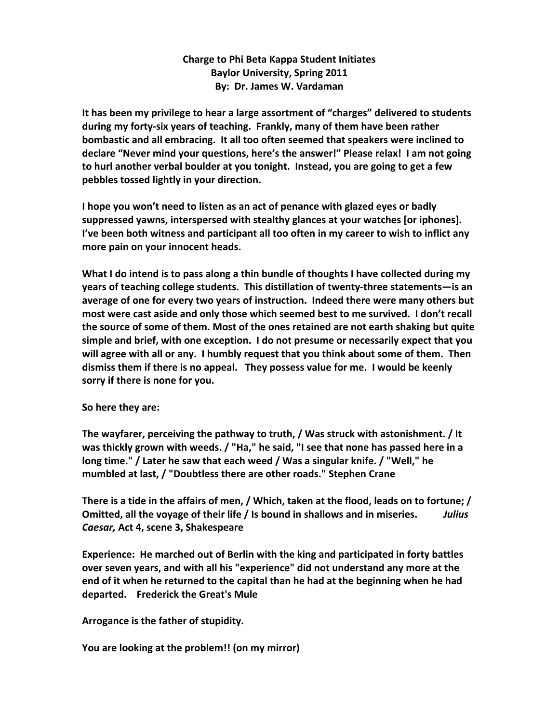## **Charge to Phi Beta Kappa Student Initiates Baylor University, Spring 2011 By: Dr. James W. Vardaman**

It has been my privilege to hear a large assortment of "charges" delivered to students during my forty-six years of teaching. Frankly, many of them have been rather **bombastic and all embracing. It all too often seemed that speakers were inclined to** declare "Never mind your questions, here's the answer!" Please relax! I am not going **to hurl another verbal boulder at you tonight. Instead, you are going to get a few** pebbles tossed lightly in your direction.

**I** hope you won't need to listen as an act of penance with glazed eyes or badly suppressed yawns, interspersed with stealthy glances at your watches [or iphones]. **I've been both witness and participant all too often in my career to wish to inflict any** more pain on your innocent heads.

What I do intend is to pass along a thin bundle of thoughts I have collected during my years of teaching college students. This distillation of twenty-three statements—is an average of one for every two years of instruction. Indeed there were many others but most were cast aside and only those which seemed best to me survived. I don't recall **the source of some of them. Most of the ones retained are not earth shaking but quite** simple and brief, with one exception. I do not presume or necessarily expect that you will agree with all or any. I humbly request that you think about some of them. Then dismiss them if there is no appeal. They possess value for me. I would be keenly sorry if there is none for you.

**So here they are:**

**The wayfarer, perceiving the pathway to truth, / Was struck with astonishment. / It** was thickly grown with weeds. / "Ha," he said, "I see that none has passed here in a long time." / Later he saw that each weed / Was a singular knife. / "Well," he mumbled at last, / "Doubtless there are other roads." Stephen Crane

There is a tide in the affairs of men, / Which, taken at the flood, leads on to fortune; / **Omitted, all the voyage of their life / Is bound in shallows and in miseries.** Julius *Caesar,* **Act 4, scene 3, Shakespeare**

**Experience:** He marched out of Berlin with the king and participated in forty battles over seven years, and with all his "experience" did not understand any more at the end of it when he returned to the capital than he had at the beginning when he had departed. Frederick the Great's Mule

Arrogance is the father of stupidity.

**You are looking at the problem!! (on my mirror)**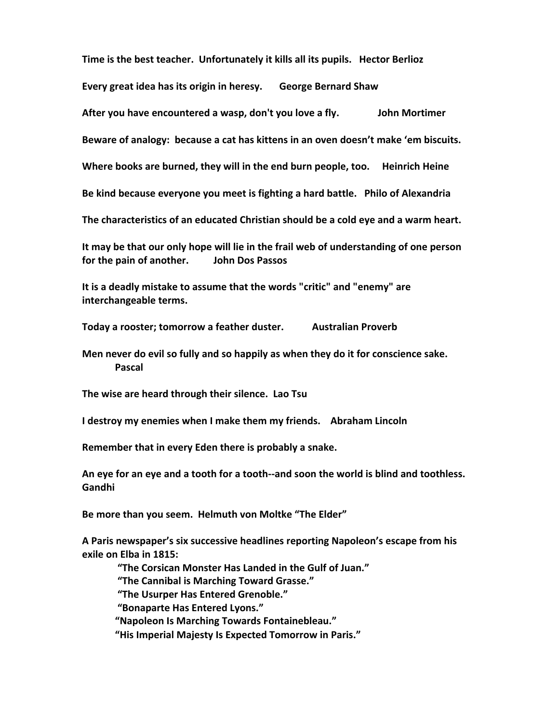**Time is the best teacher. Unfortunately it kills all its pupils. Hector Berlioz** 

**Every great idea has its origin in heresy.** George Bernard Shaw

After you have encountered a wasp, don't you love a fly. **I** John Mortimer

Beware of analogy: because a cat has kittens in an oven doesn't make 'em biscuits.

Where books are burned, they will in the end burn people, too. Heinrich Heine

Be kind because everyone you meet is fighting a hard battle. Philo of Alexandria

The characteristics of an educated Christian should be a cold eye and a warm heart.

It may be that our only hope will lie in the frail web of understanding of one person **for the pain of another.** John Dos Passos

It is a deadly mistake to assume that the words "critic" and "enemy" are **interchangeable terms.**

Today a rooster; tomorrow a feather duster. Australian Proverb

**Men never do evil so fully and so happily as when they do it for conscience sake. Pascal**

The wise are heard through their silence. Lao Tsu

**I** destroy my enemies when I make them my friends. Abraham Lincoln

**Remember that in every Eden there is probably a snake.** 

An eye for an eye and a tooth for a tooth--and soon the world is blind and toothless. Gandhi

Be more than you seem. Helmuth von Moltke "The Elder"

A Paris newspaper's six successive headlines reporting Napoleon's escape from his **exile on Elba in 1815:** 

"The Corsican Monster Has Landed in the Gulf of Juan."

"The Cannibal is Marching Toward Grasse."

**"The Usurper Has Entered Grenoble."** 

**"Bonaparte Has Entered Lyons."**

**"Napoleon Is Marching Towards Fontainebleau."** 

"His Imperial Majesty Is Expected Tomorrow in Paris."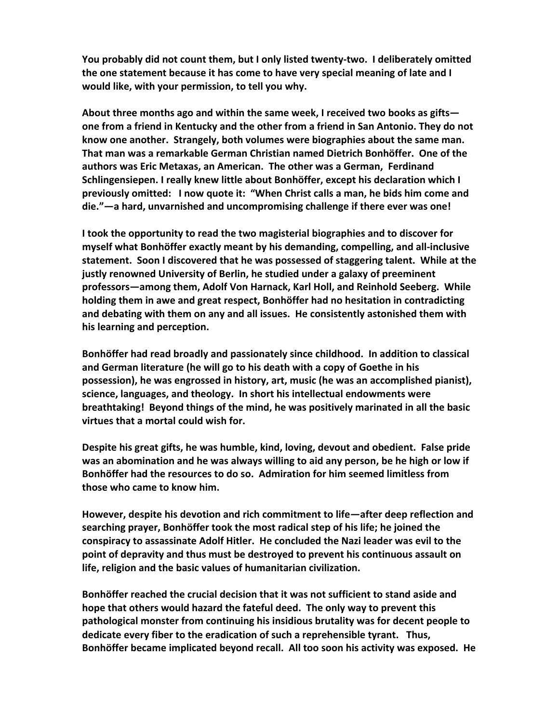You probably did not count them, but I only listed twenty-two. I deliberately omitted **the one statement because it has come to have very special meaning of late and I would like, with your permission, to tell you why.**

About three months ago and within the same week, I received two books as gifts **one from a friend in Kentucky and the other from a friend in San Antonio. They do not** know one another. Strangely, both volumes were biographies about the same man. That man was a remarkable German Christian named Dietrich Bonhöffer. One of the authors was Eric Metaxas, an American. The other was a German, Ferdinand **Schlingensiepen. I really knew little about Bonhöffer, except his declaration which I previously omitted:** I now quote it: "When Christ calls a man, he bids him come and die."—a hard, unvarnished and uncompromising challenge if there ever was one!

**I** took the opportunity to read the two magisterial biographies and to discover for myself what Bonhöffer exactly meant by his demanding, compelling, and all-inclusive statement. Soon I discovered that he was possessed of staggering talent. While at the **justly renowned University of Berlin, he studied under a galaxy of preeminent** professors—among them, Adolf Von Harnack, Karl Holl, and Reinhold Seeberg. While holding them in awe and great respect, Bonhöffer had no hesitation in contradicting and debating with them on any and all issues. He consistently astonished them with **his learning and perception.** 

Bonhöffer had read broadly and passionately since childhood. In addition to classical and German literature (he will go to his death with a copy of Goethe in his **possession), he was engrossed in history, art, music (he was an accomplished pianist),** science, languages, and theology. In short his intellectual endowments were **breathtaking! Beyond things of the mind, he was positively marinated in all the basic virtues that a mortal could wish for.** 

**Despite his great gifts, he was humble, kind, loving, devout and obedient. False pride** was an abomination and he was always willing to aid any person, be he high or low if **Bonhöffer had the resources to do so. Admiration for him seemed limitless from those who came to know him.**

However, despite his devotion and rich commitment to life—after deep reflection and searching prayer, Bonhöffer took the most radical step of his life; he joined the conspiracy to assassinate Adolf Hitler. He concluded the Nazi leader was evil to the **point of depravity and thus must be destroyed to prevent his continuous assault on** life, religion and the basic values of humanitarian civilization.

Bonhöffer reached the crucial decision that it was not sufficient to stand aside and hope that others would hazard the fateful deed. The only way to prevent this **pathological monster from continuing his insidious brutality was for decent people to** dedicate every fiber to the eradication of such a reprehensible tyrant. Thus, Bonhöffer became implicated beyond recall. All too soon his activity was exposed. He